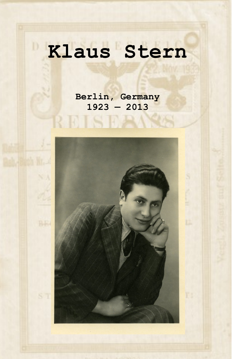# **Klaus Stern**

**Berlin, Germany 1923 — 2013**

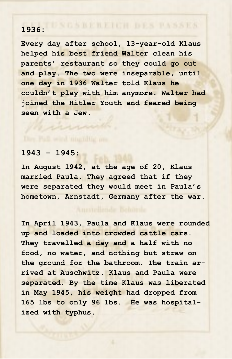### **1936:**

**Every day after school, 13-year-old Klaus helped his best friend Walter clean his parents' restaurant so they could go out and play. The two were inseparable, until one day in 1936 Walter told Klaus he couldn't play with him anymore. Walter had joined the Hitler Youth and feared being seen with a Jew.**

#### **1943 - 1945:**

**In August 1942, at the age of 20, Klaus married Paula. They agreed that if they were separated they would meet in Paula's hometown, Arnstadt, Germany after the war.**

**In April 1943, Paula and Klaus were rounded up and loaded into crowded cattle cars. They travelled a day and a half with no food, no water, and nothing but straw on the ground for the bathroom. The train arrived at Auschwitz. Klaus and Paula were separated. By the time Klaus was liberated in May 1945, his weight had dropped from 165 lbs to only 96 lbs. He was hospitalized with typhus.**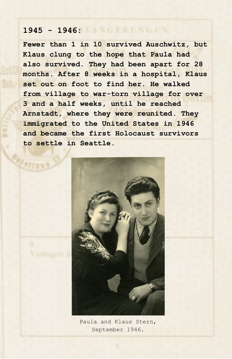#### **1945 - 1946:**

**Fewer than 1 in 10 survived Auschwitz, but Klaus clung to the hope that Paula had also survived. They had been apart for 28 months. After 8 weeks in a hospital, Klaus set out on foot to find her. He walked from village to war-torn village for over 3 and a half weeks, until he reached Arnstadt, where they were reunited. They immigrated to the United States in 1946 and became the first Holocaust survivors to settle in Seattle.**



Paula and Klaus Stern, September 1946.